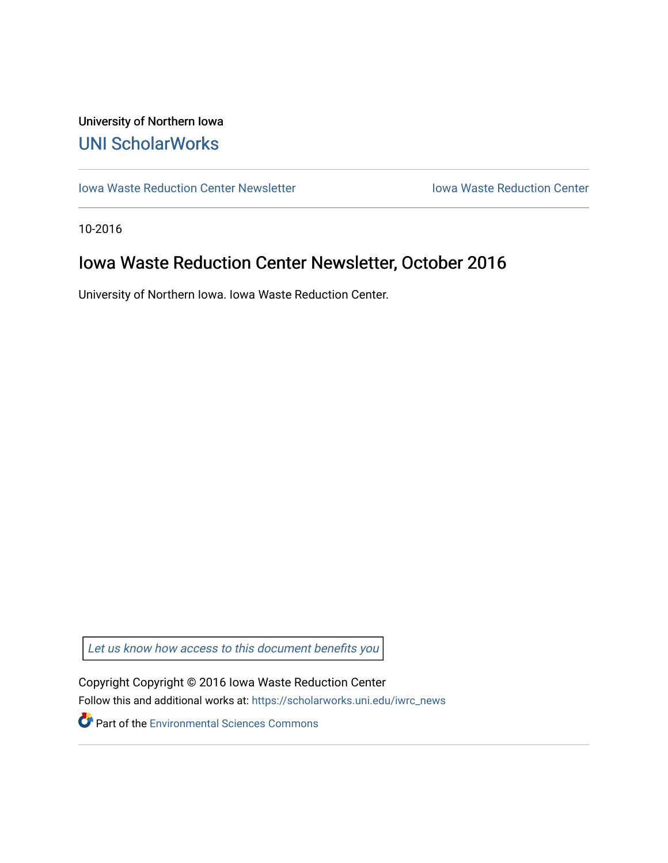## University of Northern Iowa [UNI ScholarWorks](https://scholarworks.uni.edu/)

[Iowa Waste Reduction Center Newsletter](https://scholarworks.uni.edu/iwrc_news) **Internal Communist Communist Center** Iowa Waste Reduction Center

10-2016

# Iowa Waste Reduction Center Newsletter, October 2016

University of Northern Iowa. Iowa Waste Reduction Center.

Let us know how access to this document benefits you

Copyright Copyright © 2016 Iowa Waste Reduction Center Follow this and additional works at: [https://scholarworks.uni.edu/iwrc\\_news](https://scholarworks.uni.edu/iwrc_news?utm_source=scholarworks.uni.edu%2Fiwrc_news%2F65&utm_medium=PDF&utm_campaign=PDFCoverPages) 

**Part of the [Environmental Sciences Commons](http://network.bepress.com/hgg/discipline/167?utm_source=scholarworks.uni.edu%2Fiwrc_news%2F65&utm_medium=PDF&utm_campaign=PDFCoverPages)**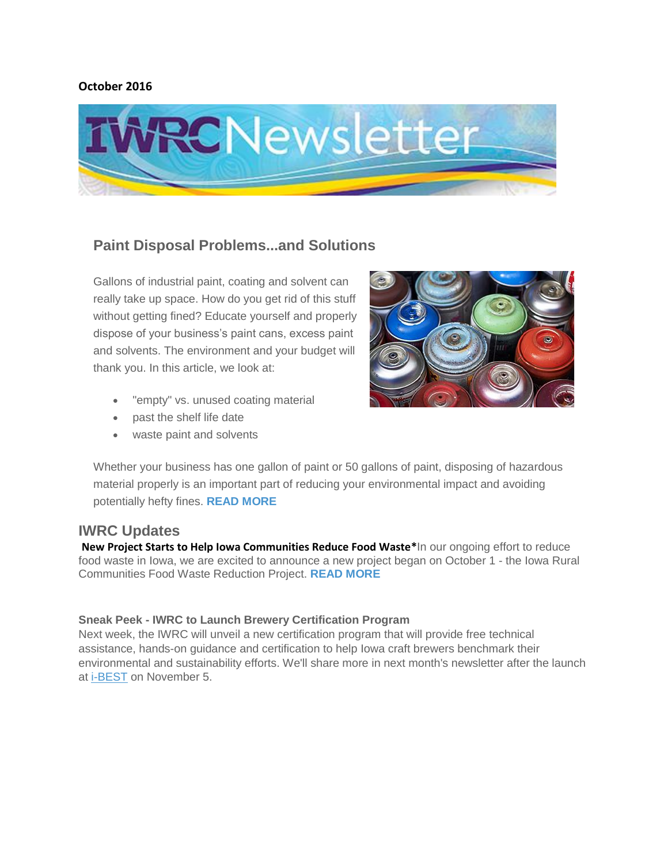#### **October 2016**



## **Paint Disposal Problems...and Solutions**

Gallons of industrial paint, coating and solvent can really take up space. How do you get rid of this stuff without getting fined? Educate yourself and properly dispose of your business's paint cans, excess paint and solvents. The environment and your budget will thank you. In this article, we look at:

- "empty" vs. unused coating material
- past the shelf life date
- waste paint and solvents



Whether your business has one gallon of paint or 50 gallons of paint, disposing of hazardous material properly is an important part of reducing your environmental impact and avoiding potentially hefty fines. **[READ MORE](http://iwrc.uni.edu/paint-disposal-problems-solutions)**

### **IWRC Updates**

**New Project Starts to Help Iowa Communities Reduce Food Waste\***In our ongoing effort to reduce food waste in Iowa, we are excited to announce a new project began on October 1 - the Iowa Rural Communities Food Waste Reduction Project. **[READ MORE](http://iwrc.uni.edu/new-project-starts-help-iowa-communities-reduce-food-waste)**

#### **Sneak Peek - IWRC to Launch Brewery Certification Program**

Next week, the IWRC will unveil a new certification program that will provide free technical assistance, hands-on guidance and certification to help Iowa craft brewers benchmark their environmental and sustainability efforts. We'll share more in next month's newsletter after the launch at [i-BEST](http://iwrc.uni.edu/i-best) on November 5.